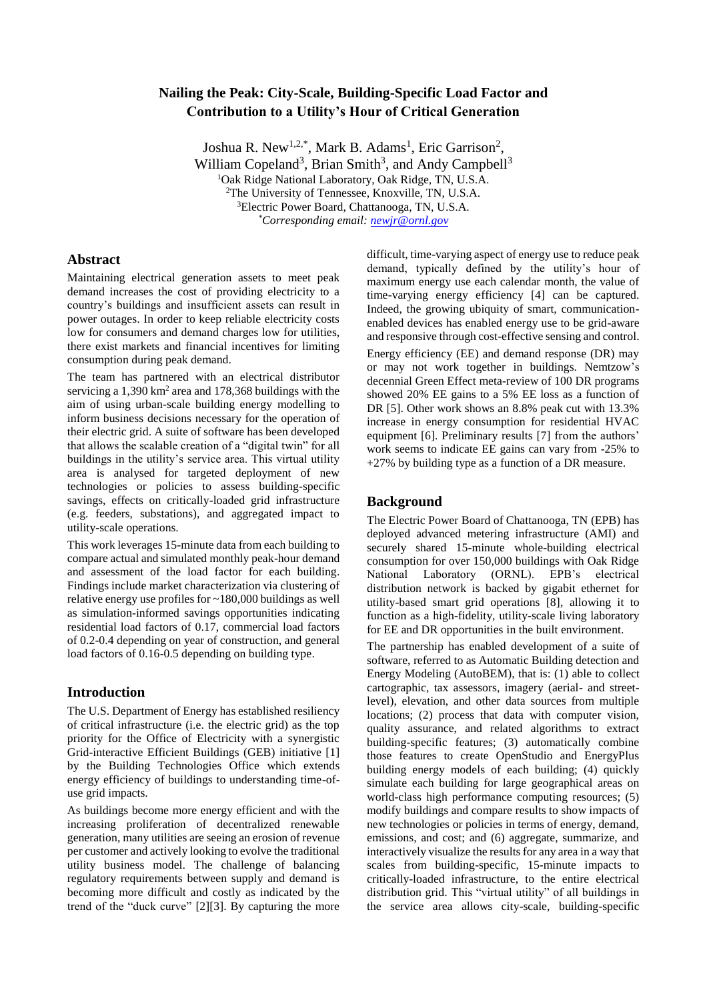# **Nailing the Peak: City-Scale, Building-Specific Load Factor and Contribution to a Utility's Hour of Critical Generation**

Joshua R. New<sup>1,2,\*</sup>, Mark B. Adams<sup>1</sup>, Eric Garrison<sup>2</sup>, William Copeland<sup>3</sup>, Brian Smith<sup>3</sup>, and Andy Campbell<sup>3</sup> <sup>1</sup>Oak Ridge National Laboratory, Oak Ridge, TN, U.S.A. <sup>2</sup>The University of Tennessee, Knoxville, TN, U.S.A. <sup>3</sup>Electric Power Board, Chattanooga, TN, U.S.A. *\*Corresponding email[: newjr@ornl.gov](mailto:newjr@ornl.gov)*

### **Abstract**

Maintaining electrical generation assets to meet peak demand increases the cost of providing electricity to a country's buildings and insufficient assets can result in power outages. In order to keep reliable electricity costs low for consumers and demand charges low for utilities, there exist markets and financial incentives for limiting consumption during peak demand.

The team has partnered with an electrical distributor servicing a  $1,390 \text{ km}^2$  area and  $178,368$  buildings with the aim of using urban-scale building energy modelling to inform business decisions necessary for the operation of their electric grid. A suite of software has been developed that allows the scalable creation of a "digital twin" for all buildings in the utility's service area. This virtual utility area is analysed for targeted deployment of new technologies or policies to assess building-specific savings, effects on critically-loaded grid infrastructure (e.g. feeders, substations), and aggregated impact to utility-scale operations.

This work leverages 15-minute data from each building to compare actual and simulated monthly peak-hour demand and assessment of the load factor for each building. Findings include market characterization via clustering of relative energy use profiles for ~180,000 buildings as well as simulation-informed savings opportunities indicating residential load factors of 0.17, commercial load factors of 0.2-0.4 depending on year of construction, and general load factors of 0.16-0.5 depending on building type.

## **Introduction**

The U.S. Department of Energy has established resiliency of critical infrastructure (i.e. the electric grid) as the top priority for the Office of Electricity with a synergistic Grid-interactive Efficient Buildings (GEB) initiative [1] by the Building Technologies Office which extends energy efficiency of buildings to understanding time-ofuse grid impacts.

As buildings become more energy efficient and with the increasing proliferation of decentralized renewable generation, many utilities are seeing an erosion of revenue per customer and actively looking to evolve the traditional utility business model. The challenge of balancing regulatory requirements between supply and demand is becoming more difficult and costly as indicated by the trend of the "duck curve" [2][3]. By capturing the more

difficult, time-varying aspect of energy use to reduce peak demand, typically defined by the utility's hour of maximum energy use each calendar month, the value of time-varying energy efficiency [4] can be captured. Indeed, the growing ubiquity of smart, communicationenabled devices has enabled energy use to be grid-aware and responsive through cost-effective sensing and control.

Energy efficiency (EE) and demand response (DR) may or may not work together in buildings. Nemtzow's decennial Green Effect meta-review of 100 DR programs showed 20% EE gains to a 5% EE loss as a function of DR [5]. Other work shows an 8.8% peak cut with 13.3% increase in energy consumption for residential HVAC equipment [6]. Preliminary results [7] from the authors' work seems to indicate EE gains can vary from -25% to +27% by building type as a function of a DR measure.

## **Background**

The Electric Power Board of Chattanooga, TN (EPB) has deployed advanced metering infrastructure (AMI) and securely shared 15-minute whole-building electrical consumption for over 150,000 buildings with Oak Ridge National Laboratory (ORNL). EPB's electrical distribution network is backed by gigabit ethernet for utility-based smart grid operations [8], allowing it to function as a high-fidelity, utility-scale living laboratory for EE and DR opportunities in the built environment.

The partnership has enabled development of a suite of software, referred to as Automatic Building detection and Energy Modeling (AutoBEM), that is: (1) able to collect cartographic, tax assessors, imagery (aerial- and streetlevel), elevation, and other data sources from multiple locations; (2) process that data with computer vision, quality assurance, and related algorithms to extract building-specific features; (3) automatically combine those features to create OpenStudio and EnergyPlus building energy models of each building; (4) quickly simulate each building for large geographical areas on world-class high performance computing resources; (5) modify buildings and compare results to show impacts of new technologies or policies in terms of energy, demand, emissions, and cost; and (6) aggregate, summarize, and interactively visualize the results for any area in a way that scales from building-specific, 15-minute impacts to critically-loaded infrastructure, to the entire electrical distribution grid. This "virtual utility" of all buildings in the service area allows city-scale, building-specific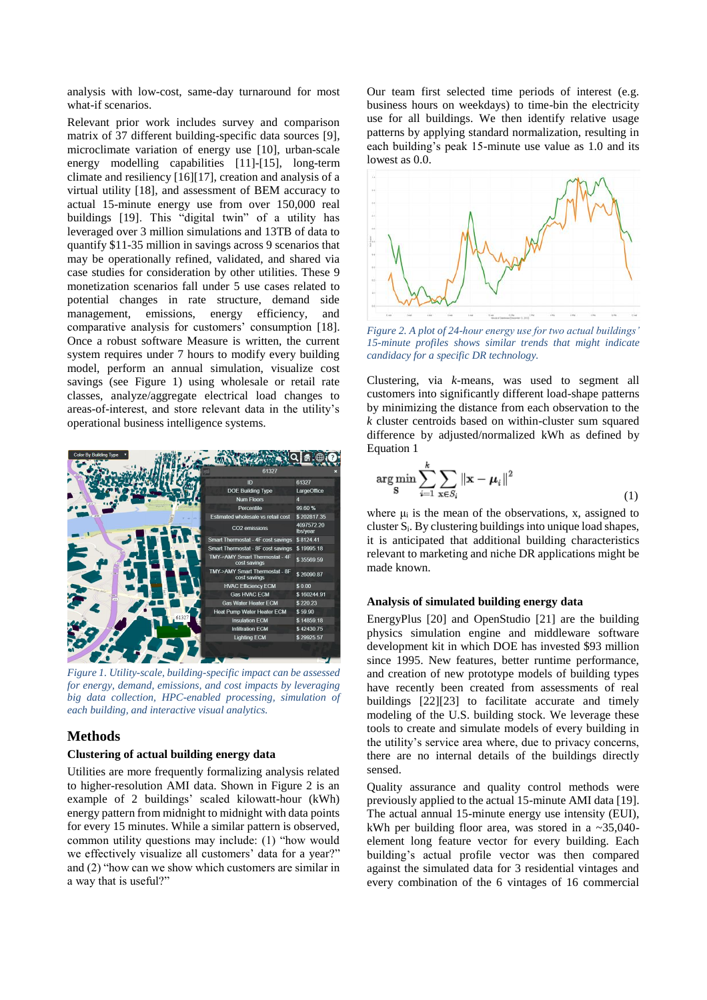analysis with low-cost, same-day turnaround for most what-if scenarios.

Relevant prior work includes survey and comparison matrix of 37 different building-specific data sources [\[9\],](#page-4-0) microclimate variation of energy use [\[10\],](#page-4-1) urban-scale energy modelling capabilities [\[11\]](#page-4-2)[-\[15\],](#page-4-3) long-term climate and resilienc[y \[16\]](#page-4-4)[\[17\],](#page-4-5) creation and analysis of a virtual utility [\[18\],](#page-4-6) and assessment of BEM accuracy to actual 15-minute energy use from over 150,000 real buildings [\[19\].](#page-5-0) This "digital twin" of a utility has leveraged over 3 million simulations and 13TB of data to quantify \$11-35 million in savings across 9 scenarios that may be operationally refined, validated, and shared via case studies for consideration by other utilities. These 9 monetization scenarios fall under 5 use cases related to potential changes in rate structure, demand side management, emissions, energy efficiency, and comparative analysis for customers' consumption [\[18\].](#page-4-6) Once a robust software Measure is written, the current system requires under 7 hours to modify every building model, perform an annual simulation, visualize cost savings (see [Figure 1\)](#page-1-0) using wholesale or retail rate classes, analyze/aggregate electrical load changes to areas-of-interest, and store relevant data in the utility's operational business intelligence systems.



*Figure 1. Utility-scale, building-specific impact can be assessed for energy, demand, emissions, and cost impacts by leveraging big data collection, HPC-enabled processing, simulation of each building, and interactive visual analytics.*

## <span id="page-1-0"></span>**Methods**

#### **Clustering of actual building energy data**

Utilities are more frequently formalizing analysis related to higher-resolution AMI data. Shown in Figure 2 is an example of 2 buildings' scaled kilowatt-hour (kWh) energy pattern from midnight to midnight with data points for every 15 minutes. While a similar pattern is observed, common utility questions may include: (1) "how would we effectively visualize all customers' data for a year?" and (2) "how can we show which customers are similar in a way that is useful?"

Our team first selected time periods of interest (e.g. business hours on weekdays) to time-bin the electricity use for all buildings. We then identify relative usage patterns by applying standard normalization, resulting in each building's peak 15-minute use value as 1.0 and its lowest as 0.0.



*Figure 2. A plot of 24-hour energy use for two actual buildings' 15-minute profiles shows similar trends that might indicate candidacy for a specific DR technology.*

Clustering, via *k*-means, was used to segment all customers into significantly different load-shape patterns by minimizing the distance from each observation to the *k* cluster centroids based on within-cluster sum squared difference by adjusted/normalized kWh as defined by Equation 1

$$
\arg\min_{\mathbf{S}} \sum_{i=1}^{k} \sum_{\mathbf{x} \in S_i} \|\mathbf{x} - \boldsymbol{\mu}_i\|^2
$$
\n(1)

where  $\mu_i$  is the mean of the observations, x, assigned to cluster Si. By clustering buildings into unique load shapes, it is anticipated that additional building characteristics relevant to marketing and niche DR applications might be made known.

#### **Analysis of simulated building energy data**

EnergyPlus [20] and OpenStudio [21] are the building physics simulation engine and middleware software development kit in which DOE has invested \$93 million since 1995. New features, better runtime performance, and creation of new prototype models of building types have recently been created from assessments of real buildings [22][23] to facilitate accurate and timely modeling of the U.S. building stock. We leverage these tools to create and simulate models of every building in the utility's service area where, due to privacy concerns, there are no internal details of the buildings directly sensed.

Quality assurance and quality control methods were previously applied to the actual 15-minute AMI data [19]. The actual annual 15-minute energy use intensity (EUI), kWh per building floor area, was stored in a ~35,040 element long feature vector for every building. Each building's actual profile vector was then compared against the simulated data for 3 residential vintages and every combination of the 6 vintages of 16 commercial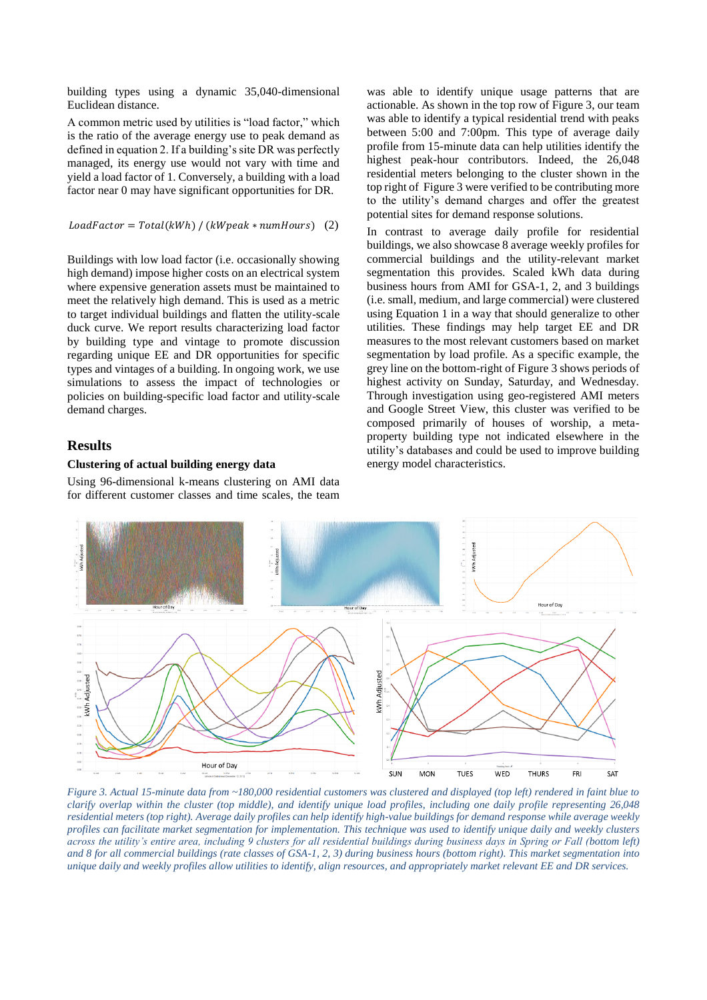building types using a dynamic 35,040-dimensional Euclidean distance.

A common metric used by utilities is "load factor," which is the ratio of the average energy use to peak demand as defined in equation 2. If a building's site DR was perfectly managed, its energy use would not vary with time and yield a load factor of 1. Conversely, a building with a load factor near 0 may have significant opportunities for DR.

#### $LoadFactor = Total(kWh) / (kWpeak * numhours)$  (2)

Buildings with low load factor (i.e. occasionally showing high demand) impose higher costs on an electrical system where expensive generation assets must be maintained to meet the relatively high demand. This is used as a metric to target individual buildings and flatten the utility-scale duck curve. We report results characterizing load factor by building type and vintage to promote discussion regarding unique EE and DR opportunities for specific types and vintages of a building. In ongoing work, we use simulations to assess the impact of technologies or policies on building-specific load factor and utility-scale demand charges.

#### **Results**

### **Clustering of actual building energy data**

Using 96-dimensional k-means clustering on AMI data for different customer classes and time scales, the team

was able to identify unique usage patterns that are actionable. As shown in the top row of Figure 3, our team was able to identify a typical residential trend with peaks between 5:00 and 7:00pm. This type of average daily profile from 15-minute data can help utilities identify the highest peak-hour contributors. Indeed, the 26,048 residential meters belonging to the cluster shown in the top right of [Figure 3](#page-2-0) were verified to be contributing more to the utility's demand charges and offer the greatest potential sites for demand response solutions.

In contrast to average daily profile for residential buildings, we also showcase 8 average weekly profiles for commercial buildings and the utility-relevant market segmentation this provides. Scaled kWh data during business hours from AMI for GSA-1, 2, and 3 buildings (i.e. small, medium, and large commercial) were clustered using Equation 1 in a way that should generalize to other utilities. These findings may help target EE and DR measures to the most relevant customers based on market segmentation by load profile. As a specific example, the grey line on the bottom-right o[f Figure 3](#page-2-0) shows periods of highest activity on Sunday, Saturday, and Wednesday. Through investigation using geo-registered AMI meters and Google Street View, this cluster was verified to be composed primarily of houses of worship, a metaproperty building type not indicated elsewhere in the utility's databases and could be used to improve building energy model characteristics.



<span id="page-2-0"></span>*Figure 3. Actual 15-minute data from ~180,000 residential customers was clustered and displayed (top left) rendered in faint blue to clarify overlap within the cluster (top middle), and identify unique load profiles, including one daily profile representing 26,048 residential meters (top right). Average daily profiles can help identify high-value buildings for demand response while average weekly profiles can facilitate market segmentation for implementation. This technique was used to identify unique daily and weekly clusters across the utility's entire area, including 9 clusters for all residential buildings during business days in Spring or Fall (bottom left) and 8 for all commercial buildings (rate classes of GSA-1, 2, 3) during business hours (bottom right). This market segmentation into unique daily and weekly profiles allow utilities to identify, align resources, and appropriately market relevant EE and DR services.*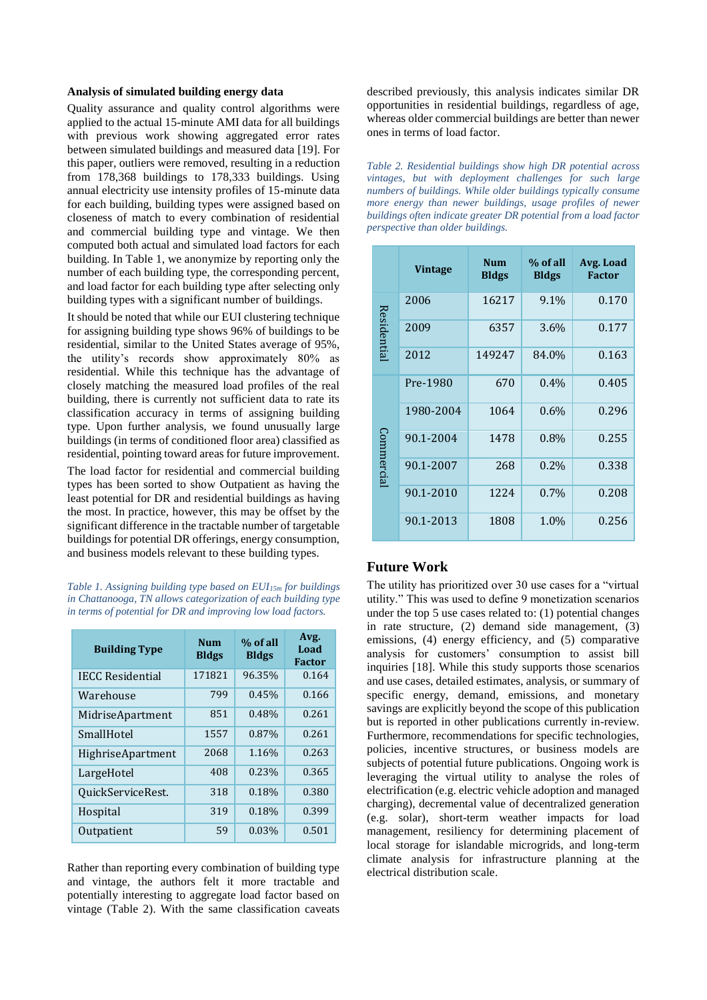#### **Analysis of simulated building energy data**

Quality assurance and quality control algorithms were applied to the actual 15-minute AMI data for all buildings with previous work showing aggregated error rates between simulated buildings and measured data [19]. For this paper, outliers were removed, resulting in a reduction from 178,368 buildings to 178,333 buildings. Using annual electricity use intensity profiles of 15-minute data for each building, building types were assigned based on closeness of match to every combination of residential and commercial building type and vintage. We then computed both actual and simulated load factors for each building. In [Table 1,](#page-3-0) we anonymize by reporting only the number of each building type, the corresponding percent, and load factor for each building type after selecting only building types with a significant number of buildings.

It should be noted that while our EUI clustering technique for assigning building type shows 96% of buildings to be residential, similar to the United States average of 95%, the utility's records show approximately 80% as residential. While this technique has the advantage of closely matching the measured load profiles of the real building, there is currently not sufficient data to rate its classification accuracy in terms of assigning building type. Upon further analysis, we found unusually large buildings (in terms of conditioned floor area) classified as residential, pointing toward areas for future improvement. The load factor for residential and commercial building types has been sorted to show Outpatient as having the least potential for DR and residential buildings as having the most. In practice, however, this may be offset by the significant difference in the tractable number of targetable buildings for potential DR offerings, energy consumption, and business models relevant to these building types.

<span id="page-3-0"></span>*Table 1. Assigning building type based on EUI15m for buildings in Chattanooga, TN allows categorization of each building type in terms of potential for DR and improving low load factors.*

| <b>Building Type</b>     | Num<br><b>Bldgs</b> | % of all<br><b>Bldgs</b> | Avg.<br>Load<br><b>Factor</b> |
|--------------------------|---------------------|--------------------------|-------------------------------|
| <b>IECC Residential</b>  | 171821              | 96.35%                   | 0.164                         |
| Warehouse                | 799                 | 0.45%                    | 0.166                         |
| MidriseApartment         | 851                 | 0.48%                    | 0.261                         |
| SmallHotel               | 1557                | 0.87%                    | 0.261                         |
| <b>HighriseApartment</b> | 2068                | 1.16%                    | 0.263                         |
| LargeHotel               | 408                 | 0.23%                    | 0.365                         |
| OuickServiceRest.        | 318                 | 0.18%                    | 0.380                         |
| Hospital                 | 319                 | 0.18%                    | 0.399                         |
| Outpatient               | 59                  | 0.03%                    | 0.501                         |

Rather than reporting every combination of building type and vintage, the authors felt it more tractable and potentially interesting to aggregate load factor based on vintage [\(Table 2\)](#page-3-1). With the same classification caveats

described previously, this analysis indicates similar DR opportunities in residential buildings, regardless of age, whereas older commercial buildings are better than newer ones in terms of load factor.

<span id="page-3-1"></span>*Table 2. Residential buildings show high DR potential across vintages, but with deployment challenges for such large numbers of buildings. While older buildings typically consume more energy than newer buildings, usage profiles of newer buildings often indicate greater DR potential from a load factor perspective than older buildings.*

|            | <b>Vintage</b> | <b>Num</b><br><b>Bldgs</b> | % of all<br><b>Bldgs</b> | Avg. Load<br><b>Factor</b> |
|------------|----------------|----------------------------|--------------------------|----------------------------|
| Residentia | 2006           | 16217                      | 9.1%                     | 0.170                      |
|            | 2009           | 6357                       | 3.6%                     | 0.177                      |
|            | 2012           | 149247                     | 84.0%                    | 0.163                      |
| Commercial | Pre-1980       | 670                        | $0.4\%$                  | 0.405                      |
|            | 1980-2004      | 1064                       | $0.6\%$                  | 0.296                      |
|            | 90.1-2004      | 1478                       | 0.8%                     | 0.255                      |
|            | 90.1-2007      | 268                        | 0.2%                     | 0.338                      |
|            | 90.1-2010      | 1224                       | 0.7%                     | 0.208                      |
|            | 90.1-2013      | 1808                       | 1.0%                     | 0.256                      |

## **Future Work**

The utility has prioritized over 30 use cases for a "virtual utility." This was used to define 9 monetization scenarios under the top 5 use cases related to: (1) potential changes in rate structure, (2) demand side management, (3) emissions, (4) energy efficiency, and (5) comparative analysis for customers' consumption to assist bill inquiries [\[18\].](#page-4-6) While this study supports those scenarios and use cases, detailed estimates, analysis, or summary of specific energy, demand, emissions, and monetary savings are explicitly beyond the scope of this publication but is reported in other publications currently in-review. Furthermore, recommendations for specific technologies, policies, incentive structures, or business models are subjects of potential future publications. Ongoing work is leveraging the virtual utility to analyse the roles of electrification (e.g. electric vehicle adoption and managed charging), decremental value of decentralized generation (e.g. solar), short-term weather impacts for load management, resiliency for determining placement of local storage for islandable microgrids, and long-term climate analysis for infrastructure planning at the electrical distribution scale.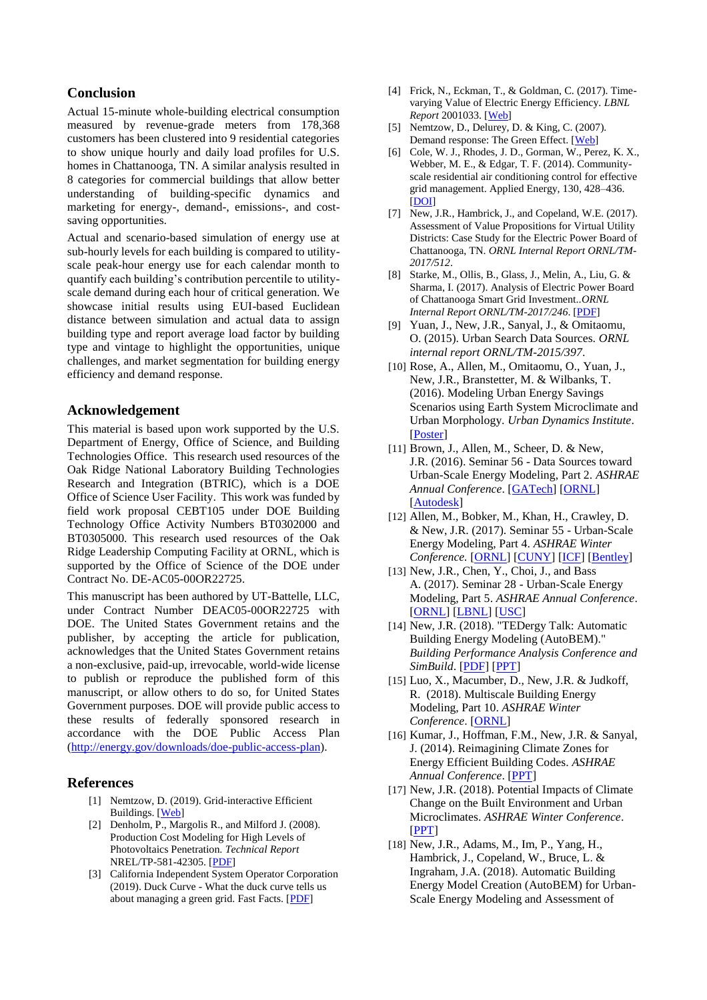## **Conclusion**

Actual 15-minute whole-building electrical consumption measured by revenue-grade meters from 178,368 customers has been clustered into 9 residential categories to show unique hourly and daily load profiles for U.S. homes in Chattanooga, TN. A similar analysis resulted in 8 categories for commercial buildings that allow better understanding of building-specific dynamics and marketing for energy-, demand-, emissions-, and costsaving opportunities.

Actual and scenario-based simulation of energy use at sub-hourly levels for each building is compared to utilityscale peak-hour energy use for each calendar month to quantify each building's contribution percentile to utilityscale demand during each hour of critical generation. We showcase initial results using EUI-based Euclidean distance between simulation and actual data to assign building type and report average load factor by building type and vintage to highlight the opportunities, unique challenges, and market segmentation for building energy efficiency and demand response.

## **Acknowledgement**

This material is based upon work supported by the U.S. Department of Energy, Office of Science, and Building Technologies Office. This research used resources of the Oak Ridge National Laboratory Building Technologies Research and Integration (BTRIC), which is a DOE Office of Science User Facility. This work was funded by field work proposal CEBT105 under DOE Building Technology Office Activity Numbers BT0302000 and BT0305000. This research used resources of the Oak Ridge Leadership Computing Facility at ORNL, which is supported by the Office of Science of the DOE under Contract No. DE-AC05-00OR22725.

This manuscript has been authored by UT-Battelle, LLC, under Contract Number DEAC05-00OR22725 with DOE. The United States Government retains and the publisher, by accepting the article for publication, acknowledges that the United States Government retains a non-exclusive, paid-up, irrevocable, world-wide license to publish or reproduce the published form of this manuscript, or allow others to do so, for United States Government purposes. DOE will provide public access to these results of federally sponsored research in accordance with the DOE Public Access Plan [\(http://energy.gov/downloads/doe-public-access-plan\)](http://energy.gov/downloads/doe-public-access-plan).

### **References**

- [1] Nemtzow, D. (2019). Grid-interactive Efficient Buildings. [\[Web\]](https://www.energy.gov/eere/buildings/grid-interactive-efficient-buildings)
- [2] Denholm, P., Margolis R., and Milford J. (2008). Production Cost Modeling for High Levels of Photovoltaics Penetration. *Technical Report* NREL/TP-581-42305. [\[PDF\]](https://www.nrel.gov/docs/fy08osti/42305.pdf)
- [3] California Independent System Operator Corporation (2019). Duck Curve - What the duck curve tells us about managing a green grid. Fast Facts. [\[PDF\]](https://www.caiso.com/Documents/FlexibleResourcesHelpRenewables_FastFacts.pdf)
- [4] Frick, N., Eckman, T., & Goldman, C. (2017). Timevarying Value of Electric Energy Efficiency. *LBNL Report* 2001033. [\[Web\]](https://emp.lbl.gov/publications/time-varying-value-electric-energy)
- [5] Nemtzow, D., Delurey, D. & King, C. (2007). Demand response: The Green Effect. [\[Web\]](https://www.fortnightly.com/fortnightly/2007/03/demand-response-green-effect)
- [6] Cole, W. J., Rhodes, J. D., Gorman, W., Perez, K. X., Webber, M. E., & Edgar, T. F. (2014). Communityscale residential air conditioning control for effective grid management. Applied Energy, 130, 428–436. [\[DOI\]](http://doi.org/10.1016/j.apenergy.2014.05.067)
- [7] New, J.R., Hambrick, J., and Copeland, W.E. (2017). Assessment of Value Propositions for Virtual Utility Districts: Case Study for the Electric Power Board of Chattanooga, TN. *ORNL Internal Report ORNL/TM-2017/512*.
- [8] Starke, M., Ollis, B., Glass, J., Melin, A., Liu, G. & Sharma, I. (2017). Analysis of Electric Power Board of Chattanooga Smart Grid Investment..*ORNL Internal Report ORNL/TM-2017/246*. [\[PDF\]](https://info.ornl.gov/sites/publications/Files/Pub74732.pdf)
- <span id="page-4-0"></span>[9] Yuan, J., New, J.R., Sanyal, J., & Omitaomu, O. (2015). Urban Search Data Sources. *ORNL internal report ORNL/TM-2015/397*.
- <span id="page-4-1"></span>[10] Rose, A., Allen, M., Omitaomu, O., Yuan, J., New, J.R., Branstetter, M. & Wilbanks, T. (2016). Modeling Urban Energy Savings Scenarios using Earth System Microclimate and Urban Morphology. *Urban Dynamics Institute*. [\[Poster\]](http://web.eecs.utk.edu/~new/presentations/2016_UDI_UrbanMETPoster.pdf)
- <span id="page-4-2"></span>[11] Brown, J., Allen, M., Scheer, D. & New, J.R. (2016). Seminar 56 - Data Sources toward Urban-Scale Energy Modeling, Part 2. *ASHRAE Annual Conference*. [\[GATech\]](http://web.eecs.utk.edu/~new/presentations/2016_ASHRAE_Seminar56_GATech.pdf) [\[ORNL\]](http://web.eecs.utk.edu/~new/presentations/2016_ASHRAE_Seminar56_ORNL.pdf) [\[Autodesk\]](http://web.eecs.utk.edu/~new/presentations/2016_ASHRAE_Seminar56_Autodesk.pdf)
- [12] Allen, M., Bobker, M., Khan, H., Crawley, D. & New, J.R. (2017). Seminar 55 - Urban-Scale Energy Modeling, Part 4. *ASHRAE Winter Conference.* [\[ORNL\]](http://web.eecs.utk.edu/~new/presentations/2017_ASHRAE_Winter_UBEM4_ORNL) [\[CUNY\]](http://web.eecs.utk.edu/~new/presentations/2017_ASHRAE_Winter_UBEM4_CUNY.pdf) [\[ICF\]](http://web.eecs.utk.edu/~new/presentations/2017_ASHRAE_Winter_UBEM4_ICF.pdf) [\[Bentley\]](http://web.eecs.utk.edu/~new/presentations/2017_ASHRAE_Winter_UBEM4_Bentley.pdf)
- [13] New, J.R., Chen, Y., Choi, J., and Bass A. (2017). Seminar 28 - Urban-Scale Energy Modeling, Part 5. *ASHRAE Annual Conference*. [\[ORNL\]](http://web.eecs.utk.edu/~new/presentations/2017_ASHRAE_UBEM5_ORNL.pdf) [\[LBNL\]](http://web.eecs.utk.edu/~new/presentations/2017_ASHRAE_UBEM5_LBNL.pdf) [\[USC\]](http://web.eecs.utk.edu/~new/presentations/2017_ASHRAE_UBEM5_USC.pdf)
- [14] New, J.R. (2018). "TEDergy Talk: Automatic Building Energy Modeling (AutoBEM)." *Building Performance Analysis Conference and SimBuild*. [\[PDF\]](http://web.eecs.utk.edu/~new/publications/2018_BPACS_AutoBEM.pdf) [\[PPT\]](http://web.eecs.utk.edu/~new/presentations/2018_BPACS_AutoBEM.pdf)
- <span id="page-4-3"></span>[15] Luo, X., Macumber, D., New, J.R. & Judkoff, R. (2018). Multiscale Building Energy Modeling, Part 10. *ASHRAE Winter Conference*. [\[ORNL\]](http://web.eecs.utk.edu/~new/presentations/2019_ASHRAE_MBEM10_ORNL.pdf)
- <span id="page-4-4"></span>[16] Kumar, J., Hoffman, F.M., New, J.R. & Sanyal, J. (2014). Reimagining Climate Zones for Energy Efficient Building Codes. *ASHRAE Annual Conference*. [\[PPT\]](http://web.eecs.utk.edu/~new/presentations/2014_ASHRAE_Weather.pdf)
- <span id="page-4-5"></span>[17] New, J.R. (2018). Potential Impacts of Climate Change on the Built Environment and Urban Microclimates. *ASHRAE Winter Conference*. [\[PPT\]](http://web.eecs.utk.edu/~new/presentations/2018_ASHRAE_GW_Microclimate.pdf)
- <span id="page-4-6"></span>[18] New, J.R., Adams, M., Im, P., Yang, H., Hambrick, J., Copeland, W., Bruce, L. & Ingraham, J.A. (2018). Automatic Building Energy Model Creation (AutoBEM) for Urban-Scale Energy Modeling and Assessment of